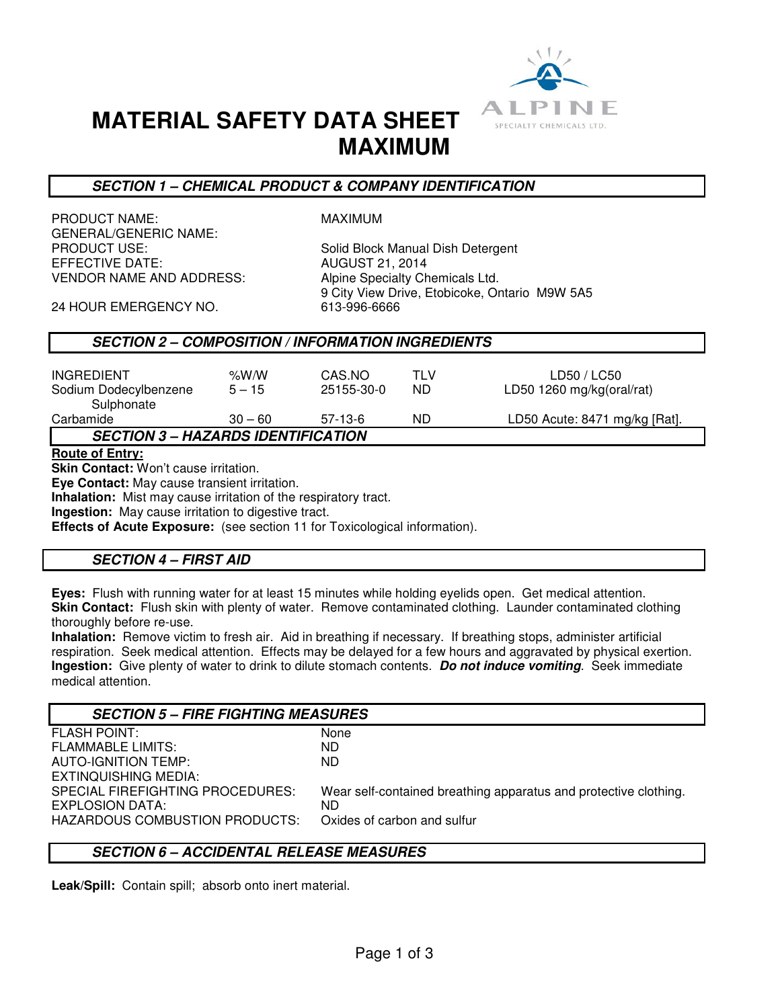

# **MATERIAL SAFETY DATA SHEET MAXIMUM**

## **SECTION 1 – CHEMICAL PRODUCT & COMPANY IDENTIFICATION**

PRODUCT NAME: MAXIMUM GENERAL/GENERIC NAME: VENDOR NAME AND ADDRESS: Alpine Specialty Chemicals Ltd.

PRODUCT USE:<br>
EFFECTIVE DATE: Solid Block Manual Dish Detergent<br>
AUGUST 21, 2014 **AUGUST 21, 2014** 9 City View Drive, Etobicoke, Ontario M9W 5A5<br>613-996-6666

24 HOUR EMERGENCY NO.

# **SECTION 2 – COMPOSITION / INFORMATION INGREDIENTS**

| <b>INGREDIENT</b><br>Sodium Dodecylbenzene<br>Sulphonate | % $W/N$<br>$5 - 15$ | CAS.NO<br>25155-30-0 | TLV<br>ND | LD50 / LC50<br>LD50 1260 mg/kg(oral/rat) |  |  |
|----------------------------------------------------------|---------------------|----------------------|-----------|------------------------------------------|--|--|
| Carbamide                                                | $30 - 60$           | 57-13-6              | ND        | LD50 Acute: 8471 mg/kg [Rat].            |  |  |
| <b>SECTION 3 – HAZARDS IDENTIFICATION</b>                |                     |                      |           |                                          |  |  |

**Route of Entry:** 

**Skin Contact:** Won't cause irritation.

**Eye Contact:** May cause transient irritation.

**Inhalation:** Mist may cause irritation of the respiratory tract.

**Ingestion:** May cause irritation to digestive tract.

**Effects of Acute Exposure:** (see section 11 for Toxicological information).

# **SECTION 4 – FIRST AID**

**Eyes:** Flush with running water for at least 15 minutes while holding eyelids open. Get medical attention. **Skin Contact:** Flush skin with plenty of water. Remove contaminated clothing. Launder contaminated clothing thoroughly before re-use.

**Inhalation:** Remove victim to fresh air. Aid in breathing if necessary. If breathing stops, administer artificial respiration. Seek medical attention. Effects may be delayed for a few hours and aggravated by physical exertion. **Ingestion:** Give plenty of water to drink to dilute stomach contents. **Do not induce vomiting**. Seek immediate medical attention.

| <b>SECTION 5 - FIRE FIGHTING MEASURES</b> |                                                                  |  |  |  |
|-------------------------------------------|------------------------------------------------------------------|--|--|--|
| <b>FLASH POINT:</b>                       | None                                                             |  |  |  |
| <b>FLAMMABLE LIMITS:</b>                  | ND.                                                              |  |  |  |
| AUTO-IGNITION TEMP:                       | ND.                                                              |  |  |  |
| EXTINQUISHING MEDIA:                      |                                                                  |  |  |  |
| SPECIAL FIREFIGHTING PROCEDURES:          | Wear self-contained breathing apparatus and protective clothing. |  |  |  |
| EXPLOSION DATA:                           | ND.                                                              |  |  |  |
| <b>HAZARDOUS COMBUSTION PRODUCTS:</b>     | Oxides of carbon and sulfur                                      |  |  |  |
|                                           |                                                                  |  |  |  |

## **SECTION 6 – ACCIDENTAL RELEASE MEASURES**

**Leak/Spill:** Contain spill; absorb onto inert material.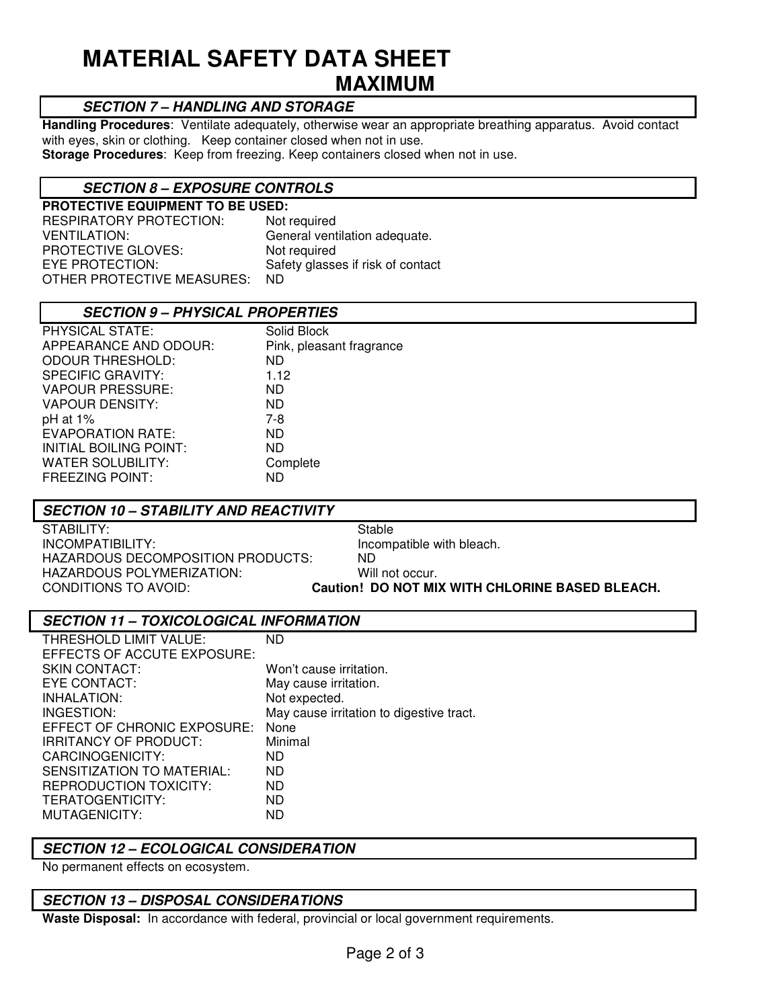# **MATERIAL SAFETY DATA SHEET MAXIMUM**

## **SECTION 7 – HANDLING AND STORAGE**

**Handling Procedures**: Ventilate adequately, otherwise wear an appropriate breathing apparatus. Avoid contact with eyes, skin or clothing. Keep container closed when not in use.

**Storage Procedures**: Keep from freezing. Keep containers closed when not in use.

## **SECTION 8 – EXPOSURE CONTROLS**

**PROTECTIVE EQUIPMENT TO BE USED:**  RESPIRATORY PROTECTION: Not required VENTILATION: General ventilation adequate. PROTECTIVE GLOVES: Not required EYE PROTECTION: Safety glasses if risk of contact OTHER PROTECTIVE MEASURES: ND

| <b>SECTION 9 - PHYSICAL PROPERTIES</b> |                          |  |
|----------------------------------------|--------------------------|--|
| PHYSICAL STATE:                        | Solid Block              |  |
| APPEARANCE AND ODOUR:                  | Pink, pleasant fragrance |  |
| <b>ODOUR THRESHOLD:</b>                | ND                       |  |
| SPECIFIC GRAVITY:                      | 1.12                     |  |
| VAPOUR PRESSURE:                       | ND                       |  |
| VAPOUR DENSITY:                        | ND                       |  |
| pH at 1%                               | 7-8                      |  |
| EVAPORATION RATE:                      | ND                       |  |
| INITIAL BOILING POINT:                 | ND                       |  |
| WATER SOLUBILITY:                      | Complete                 |  |
| <b>FREEZING POINT:</b>                 | ND                       |  |

#### **SECTION 10 – STABILITY AND REACTIVITY**

STABILITY: STABILITY: INCOMPATIBILITY: Incompatible with bleach. HAZARDOUS DECOMPOSITION PRODUCTS: ND<br>HAZARDOUS POLYMERIZATION: Will not occur. HAZARDOUS POLYMERIZATION:<br>CONDITIONS TO AVOID:

**Caution! DO NOT MIX WITH CHLORINE BASED BLEACH.** 

## **SECTION 11 – TOXICOLOGICAL INFORMATION**

| ND                                       |
|------------------------------------------|
|                                          |
| Won't cause irritation.                  |
| May cause irritation.                    |
| Not expected.                            |
| May cause irritation to digestive tract. |
| None                                     |
| Minimal                                  |
| ND.                                      |
| ND.                                      |
| ND.                                      |
| ND.                                      |
| ND                                       |
|                                          |

#### **SECTION 12 – ECOLOGICAL CONSIDERATION**

No permanent effects on ecosystem.

## **SECTION 13 – DISPOSAL CONSIDERATIONS**

**Waste Disposal:** In accordance with federal, provincial or local government requirements.